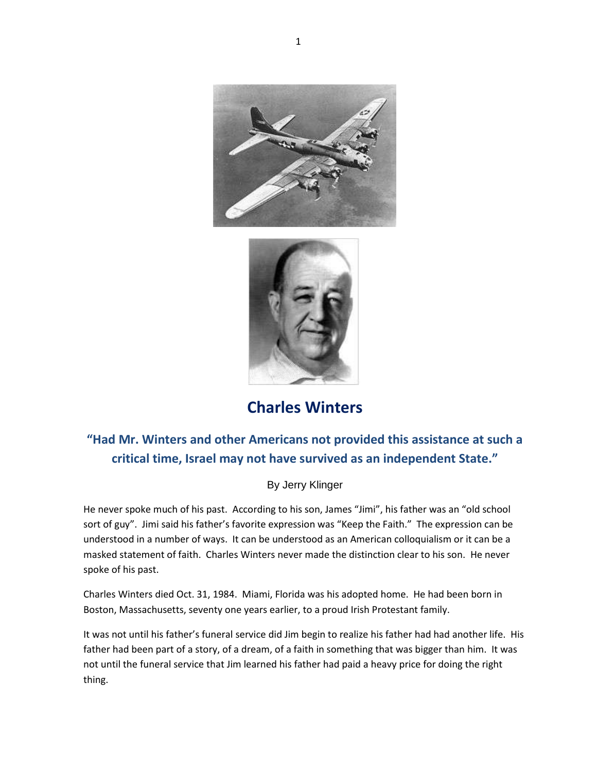



## **Charles Winters**

## **"Had Mr. Winters and other Americans not provided this assistance at such a critical time, Israel may not have survived as an independent State."**

## By Jerry Klinger

He never spoke much of his past. According to his son, James "Jimi", his father was an "old school sort of guy". Jimi said his father's favorite expression was "Keep the Faith." The expression can be understood in a number of ways. It can be understood as an American colloquialism or it can be a masked statement of faith. Charles Winters never made the distinction clear to his son. He never spoke of his past.

Charles Winters died Oct. 31, 1984. Miami, Florida was his adopted home. He had been born in Boston, Massachusetts, seventy one years earlier, to a proud Irish Protestant family.

It was not until his father's funeral service did Jim begin to realize his father had had another life. His father had been part of a story, of a dream, of a faith in something that was bigger than him. It was not until the funeral service that Jim learned his father had paid a heavy price for doing the right thing.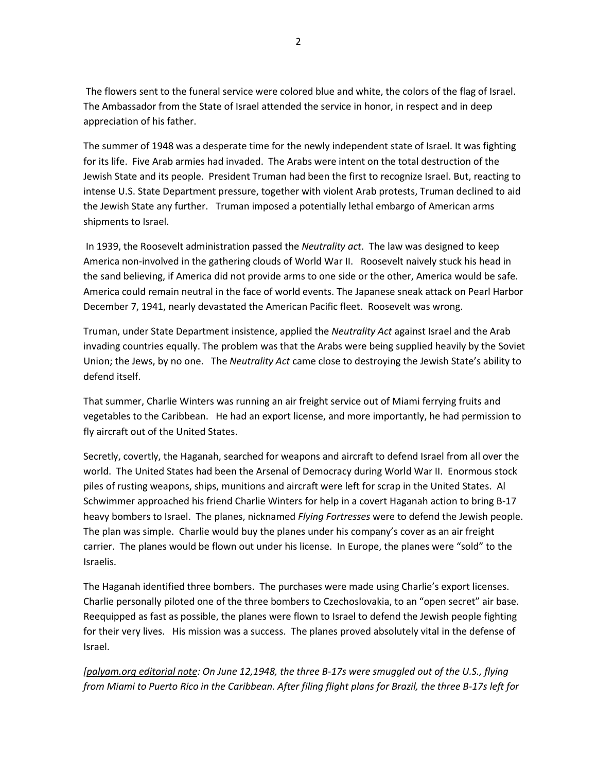The flowers sent to the funeral service were colored blue and white, the colors of the flag of Israel. The Ambassador from the State of Israel attended the service in honor, in respect and in deep appreciation of his father.

The summer of 1948 was a desperate time for the newly independent state of Israel. It was fighting for its life. Five Arab armies had invaded. The Arabs were intent on the total destruction of the Jewish State and its people. President Truman had been the first to recognize Israel. But, reacting to intense U.S. State Department pressure, together with violent Arab protests, Truman declined to aid the Jewish State any further. Truman imposed a potentially lethal embargo of American arms shipments to Israel.

In 1939, the Roosevelt administration passed the *Neutrality act*. The law was designed to keep America non-involved in the gathering clouds of World War II. Roosevelt naively stuck his head in the sand believing, if America did not provide arms to one side or the other, America would be safe. America could remain neutral in the face of world events. The Japanese sneak attack on Pearl Harbor December 7, 1941, nearly devastated the American Pacific fleet. Roosevelt was wrong.

Truman, under State Department insistence, applied the *Neutrality Act* against Israel and the Arab invading countries equally. The problem was that the Arabs were being supplied heavily by the Soviet Union; the Jews, by no one. The *Neutrality Act* came close to destroying the Jewish State's ability to defend itself.

That summer, Charlie Winters was running an air freight service out of Miami ferrying fruits and vegetables to the Caribbean. He had an export license, and more importantly, he had permission to fly aircraft out of the United States.

Secretly, covertly, the Haganah, searched for weapons and aircraft to defend Israel from all over the world. The United States had been the Arsenal of Democracy during World War II. Enormous stock piles of rusting weapons, ships, munitions and aircraft were left for scrap in the United States. Al Schwimmer approached his friend Charlie Winters for help in a covert Haganah action to bring B-17 heavy bombers to Israel. The planes, nicknamed *Flying Fortresses* were to defend the Jewish people. The plan was simple. Charlie would buy the planes under his company's cover as an air freight carrier. The planes would be flown out under his license. In Europe, the planes were "sold" to the Israelis.

The Haganah identified three bombers. The purchases were made using Charlie's export licenses. Charlie personally piloted one of the three bombers to Czechoslovakia, to an "open secret" air base. Reequipped as fast as possible, the planes were flown to Israel to defend the Jewish people fighting for their very lives. His mission was a success. The planes proved absolutely vital in the defense of Israel.

*[palyam.org editorial note: On June 12,1948, the three B-17s were smuggled out of the U.S., flying from Miami to Puerto Rico in the Caribbean. After filing flight plans for Brazil, the three B-17s left for*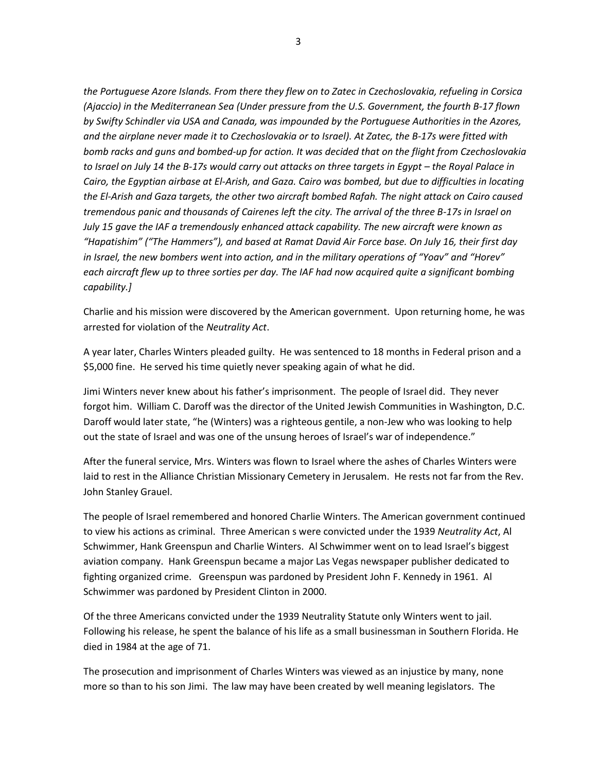*the Portuguese Azore Islands. From there they flew on to Zatec in Czechoslovakia, refueling in Corsica (Ajaccio) in the Mediterranean Sea (Under pressure from the U.S. Government, the fourth B-17 flown by Swifty Schindler via USA and Canada, was impounded by the Portuguese Authorities in the Azores, and the airplane never made it to Czechoslovakia or to Israel). At Zatec, the B-17s were fitted with bomb racks and guns and bombed-up for action. It was decided that on the flight from Czechoslovakia to Israel on July 14 the B-17s would carry out attacks on three targets in Egypt – the Royal Palace in Cairo, the Egyptian airbase at El-Arish, and Gaza. Cairo was bombed, but due to difficulties in locating the El-Arish and Gaza targets, the other two aircraft bombed Rafah. The night attack on Cairo caused tremendous panic and thousands of Cairenes left the city. The arrival of the three B-17s in Israel on July 15 gave the IAF a tremendously enhanced attack capability. The new aircraft were known as "Hapatishim" ("The Hammers"), and based at Ramat David Air Force base. On July 16, their first day in Israel, the new bombers went into action, and in the military operations of "Yoav" and "Horev" each aircraft flew up to three sorties per day. The IAF had now acquired quite a significant bombing capability.]*

Charlie and his mission were discovered by the American government. Upon returning home, he was arrested for violation of the *Neutrality Act*.

A year later, Charles Winters pleaded guilty. He was sentenced to 18 months in Federal prison and a \$5,000 fine. He served his time quietly never speaking again of what he did.

Jimi Winters never knew about his father's imprisonment. The people of Israel did. They never forgot him. William C. Daroff was the director of the United Jewish Communities in Washington, D.C. Daroff would later state, "he (Winters) was a righteous gentile, a non-Jew who was looking to help out the state of Israel and was one of the unsung heroes of Israel's war of independence."

After the funeral service, Mrs. Winters was flown to Israel where the ashes of Charles Winters were laid to rest in the Alliance Christian Missionary Cemetery in Jerusalem. He rests not far from the Rev. John Stanley Grauel.

The people of Israel remembered and honored Charlie Winters. The American government continued to view his actions as criminal. Three American s were convicted under the 1939 *Neutrality Act*, Al Schwimmer, Hank Greenspun and Charlie Winters. Al Schwimmer went on to lead Israel's biggest aviation company. Hank Greenspun became a major Las Vegas newspaper publisher dedicated to fighting organized crime. Greenspun was pardoned by President John F. Kennedy in 1961. Al Schwimmer was pardoned by President Clinton in 2000.

Of the three Americans convicted under the 1939 Neutrality Statute only Winters went to jail. Following his release, he spent the balance of his life as a small businessman in Southern Florida. He died in 1984 at the age of 71.

The prosecution and imprisonment of Charles Winters was viewed as an injustice by many, none more so than to his son Jimi. The law may have been created by well meaning legislators. The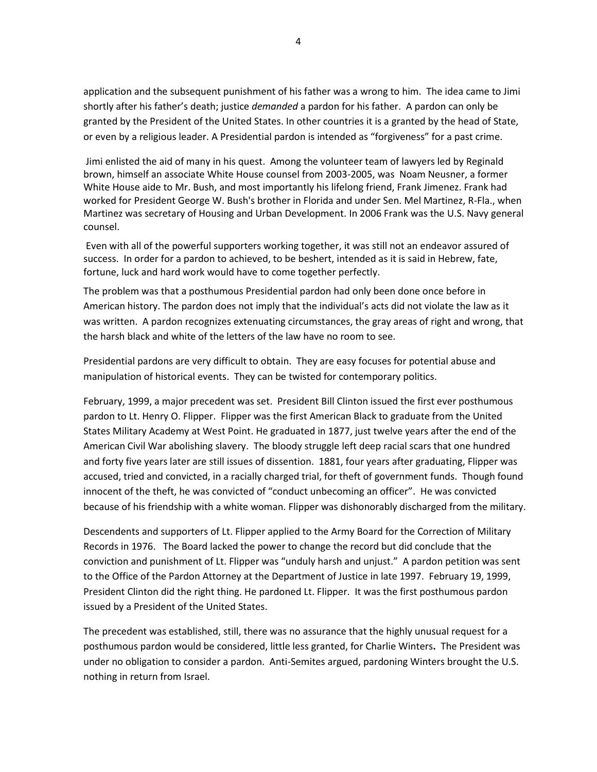application and the subsequent punishment of his father was a wrong to him. The idea came to Jimi shortly after his father's death; justice *demanded* a pardon for his father. A pardon can only be granted by the President of the United States. In other countries it is a granted by the head of State, or even by a religious leader. A Presidential pardon is intended as "forgiveness" for a past crime.

Jimi enlisted the aid of many in his quest. Among the volunteer team of lawyers led by Reginald brown, himself an associate White House counsel from 2003-2005, was Noam Neusner, a former White House aide to Mr. Bush, and most importantly his lifelong friend, Frank Jimenez. Frank had worked for President George W. Bush's brother in Florida and under Sen. Mel Martinez, R-Fla., when Martinez was secretary of Housing and Urban Development. In 2006 Frank was the U.S. Navy general counsel.

Even with all of the powerful supporters working together, it was still not an endeavor assured of success. In order for a pardon to achieved, to be beshert, intended as it is said in Hebrew, fate, fortune, luck and hard work would have to come together perfectly.

The problem was that a posthumous Presidential pardon had only been done once before in American history. The pardon does not imply that the individual's acts did not violate the law as it was written. A pardon recognizes extenuating circumstances, the gray areas of right and wrong, that the harsh black and white of the letters of the law have no room to see.

Presidential pardons are very difficult to obtain. They are easy focuses for potential abuse and manipulation of historical events. They can be twisted for contemporary politics.

February, 1999, a major precedent was set. Presiden[t Bill Clinton](http://topics.nytimes.com/top/reference/timestopics/people/c/bill_clinton/index.html?inline=nyt-per) issued the first ever posthumous pardon to Lt. Henry O. Flipper. Flipper was the first American Black to graduate from the United States Military Academy at West Point. He graduated in 1877, just twelve years after the end of the American Civil War abolishing slavery. The bloody struggle left deep racial scars that one hundred and forty five years later are still issues of dissention. 1881, four years after graduating, Flipper was accused, tried and convicted, in a racially charged trial, for theft of government funds. Though found innocent of the theft, he was convicted of "conduct unbecoming an officer". He was convicted because of his friendship with a white woman. Flipper was dishonorably discharged from the military.

Descendents and supporters of Lt. Flipper applied to the Army Board for the Correction of Military Records in 1976. The Board lacked the power to change the record but did conclude that the conviction and punishment of Lt. Flipper was "unduly harsh and unjust." A pardon petition was sent to the Office of the Pardon Attorney at the Department of Justice in late 1997. February 19, 1999, President Clinton did the right thing. He pardoned Lt. Flipper. It was the first posthumous pardon issued by a President of the United States.

The precedent was established, still, there was no assurance that the highly unusual request for a posthumous pardon would be considered, little less granted, for Charlie Winters**.** The President was under no obligation to consider a pardon. Anti-Semites argued, pardoning Winters brought the U.S. nothing in return from Israel.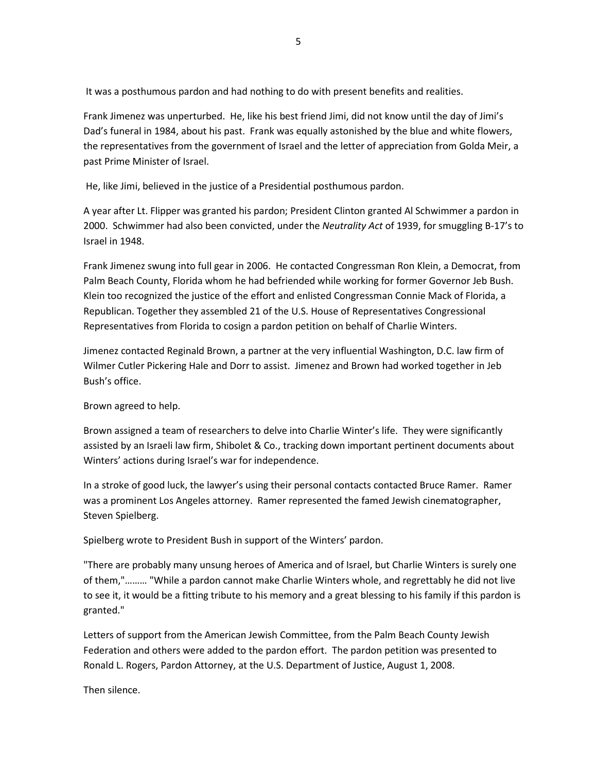It was a posthumous pardon and had nothing to do with present benefits and realities.

Frank Jimenez was unperturbed. He, like his best friend Jimi, did not know until the day of Jimi's Dad's funeral in 1984, about his past. Frank was equally astonished by the blue and white flowers, the representatives from the government of Israel and the letter of appreciation from Golda Meir, a past Prime Minister of Israel.

He, like Jimi, believed in the justice of a Presidential posthumous pardon.

A year after Lt. Flipper was granted his pardon; President Clinton granted Al Schwimmer a pardon in 2000. Schwimmer had also been convicted, under the *Neutrality Act* of 1939, for smuggling B-17's to Israel in 1948.

Frank Jimenez swung into full gear in 2006. He contacted Congressman Ron Klein, a Democrat, from Palm Beach County, Florida whom he had befriended while working for former Governor Jeb Bush. Klein too recognized the justice of the effort and enlisted Congressman Connie Mack of Florida, a Republican. Together they assembled 21 of the U.S. House of Representatives Congressional Representatives from Florida to cosign a pardon petition on behalf of Charlie Winters.

Jimenez contacted Reginald Brown, a partner at the very influential Washington, D.C. law firm of Wilmer Cutler Pickering Hale and Dorr to assist. Jimenez and Brown had worked together in Jeb Bush's office.

Brown agreed to help.

Brown assigned a team of researchers to delve into Charlie Winter's life. They were significantly assisted by an Israeli law firm, Shibolet & Co., tracking down important pertinent documents about Winters' actions during Israel's war for independence.

In a stroke of good luck, the lawyer's using their personal contacts contacted Bruce Ramer. Ramer was a prominent Los Angeles attorney. Ramer represented the famed Jewish cinematographer, Steven Spielberg.

Spielberg wrote to President Bush in support of the Winters' pardon.

"There are probably many unsung heroes of America and of Israel, but Charlie Winters is surely one of them,"……… "While a pardon cannot make Charlie Winters whole, and regrettably he did not live to see it, it would be a fitting tribute to his memory and a great blessing to his family if this pardon is granted."

Letters of support from the American Jewish Committee, from the Palm Beach County Jewish Federation and others were added to the pardon effort. The pardon petition was presented to Ronald L. Rogers, Pardon Attorney, at the U.S. Department of Justice, August 1, 2008.

Then silence.